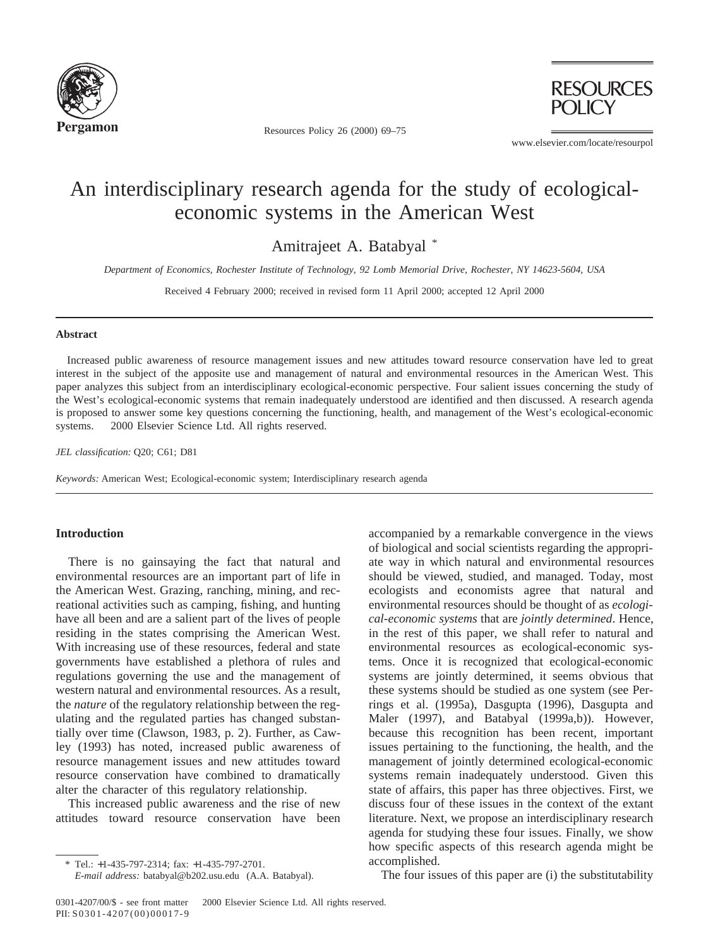

Resources Policy 26 (2000) 69–75



www.elsevier.com/locate/resourpol

# An interdisciplinary research agenda for the study of ecologicaleconomic systems in the American West

Amitrajeet A. Batabyal \*

*Department of Economics, Rochester Institute of Technology, 92 Lomb Memorial Drive, Rochester, NY 14623-5604, USA*

Received 4 February 2000; received in revised form 11 April 2000; accepted 12 April 2000

#### **Abstract**

Increased public awareness of resource management issues and new attitudes toward resource conservation have led to great interest in the subject of the apposite use and management of natural and environmental resources in the American West. This paper analyzes this subject from an interdisciplinary ecological-economic perspective. Four salient issues concerning the study of the West's ecological-economic systems that remain inadequately understood are identified and then discussed. A research agenda is proposed to answer some key questions concerning the functioning, health, and management of the West's ecological-economic systems.  $©$  2000 Elsevier Science Ltd. All rights reserved.

*JEL classification:* Q20; C61; D81

*Keywords:* American West; Ecological-economic system; Interdisciplinary research agenda

## **Introduction**

There is no gainsaying the fact that natural and environmental resources are an important part of life in the American West. Grazing, ranching, mining, and recreational activities such as camping, fishing, and hunting have all been and are a salient part of the lives of people residing in the states comprising the American West. With increasing use of these resources, federal and state governments have established a plethora of rules and regulations governing the use and the management of western natural and environmental resources. As a result, the *nature* of the regulatory relationship between the regulating and the regulated parties has changed substantially over time (Clawson, 1983, p. 2). Further, as Cawley (1993) has noted, increased public awareness of resource management issues and new attitudes toward resource conservation have combined to dramatically alter the character of this regulatory relationship.

This increased public awareness and the rise of new attitudes toward resource conservation have been accompanied by a remarkable convergence in the views of biological and social scientists regarding the appropriate way in which natural and environmental resources should be viewed, studied, and managed. Today, most ecologists and economists agree that natural and environmental resources should be thought of as *ecological-economic systems* that are *jointly determined*. Hence, in the rest of this paper, we shall refer to natural and environmental resources as ecological-economic systems. Once it is recognized that ecological-economic systems are jointly determined, it seems obvious that these systems should be studied as one system (see Perrings et al. (1995a), Dasgupta (1996), Dasgupta and Maler (1997), and Batabyal (1999a,b)). However, because this recognition has been recent, important issues pertaining to the functioning, the health, and the management of jointly determined ecological-economic systems remain inadequately understood. Given this state of affairs, this paper has three objectives. First, we discuss four of these issues in the context of the extant literature. Next, we propose an interdisciplinary research agenda for studying these four issues. Finally, we show how specific aspects of this research agenda might be accomplished.

The four issues of this paper are (i) the substitutability

<sup>\*</sup> Tel.: +1-435-797-2314; fax: +1-435-797-2701.

*E-mail address:* batabyal@b202.usu.edu (A.A. Batabyal).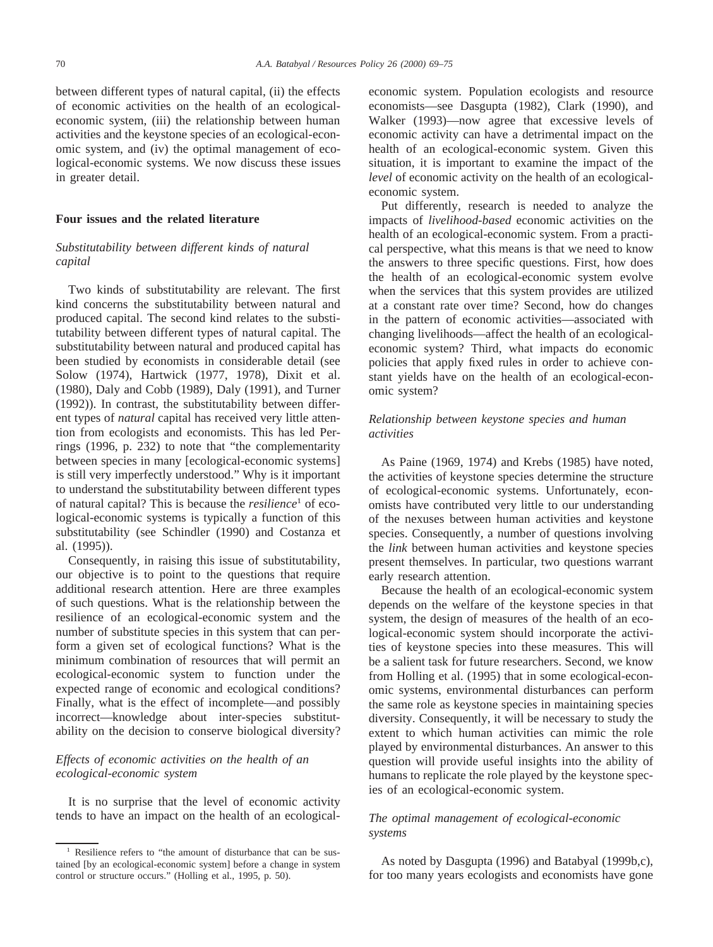between different types of natural capital, (ii) the effects of economic activities on the health of an ecologicaleconomic system, (iii) the relationship between human activities and the keystone species of an ecological-economic system, and (iv) the optimal management of ecological-economic systems. We now discuss these issues in greater detail.

### **Four issues and the related literature**

### *Substitutability between different kinds of natural capital*

Two kinds of substitutability are relevant. The first kind concerns the substitutability between natural and produced capital. The second kind relates to the substitutability between different types of natural capital. The substitutability between natural and produced capital has been studied by economists in considerable detail (see Solow (1974), Hartwick (1977, 1978), Dixit et al. (1980), Daly and Cobb (1989), Daly (1991), and Turner (1992)). In contrast, the substitutability between different types of *natural* capital has received very little attention from ecologists and economists. This has led Perrings (1996, p. 232) to note that "the complementarity between species in many [ecological-economic systems] is still very imperfectly understood." Why is it important to understand the substitutability between different types of natural capital? This is because the *resilience*<sup>1</sup> of ecological-economic systems is typically a function of this substitutability (see Schindler (1990) and Costanza et al. (1995)).

Consequently, in raising this issue of substitutability, our objective is to point to the questions that require additional research attention. Here are three examples of such questions. What is the relationship between the resilience of an ecological-economic system and the number of substitute species in this system that can perform a given set of ecological functions? What is the minimum combination of resources that will permit an ecological-economic system to function under the expected range of economic and ecological conditions? Finally, what is the effect of incomplete—and possibly incorrect—knowledge about inter-species substitutability on the decision to conserve biological diversity?

### *Effects of economic activities on the health of an ecological-economic system*

It is no surprise that the level of economic activity tends to have an impact on the health of an ecologicaleconomic system. Population ecologists and resource economists—see Dasgupta (1982), Clark (1990), and Walker (1993)—now agree that excessive levels of economic activity can have a detrimental impact on the health of an ecological-economic system. Given this situation, it is important to examine the impact of the *level* of economic activity on the health of an ecologicaleconomic system.

Put differently, research is needed to analyze the impacts of *livelihood-based* economic activities on the health of an ecological-economic system. From a practical perspective, what this means is that we need to know the answers to three specific questions. First, how does the health of an ecological-economic system evolve when the services that this system provides are utilized at a constant rate over time? Second, how do changes in the pattern of economic activities—associated with changing livelihoods—affect the health of an ecologicaleconomic system? Third, what impacts do economic policies that apply fixed rules in order to achieve constant yields have on the health of an ecological-economic system?

## *Relationship between keystone species and human activities*

As Paine (1969, 1974) and Krebs (1985) have noted, the activities of keystone species determine the structure of ecological-economic systems. Unfortunately, economists have contributed very little to our understanding of the nexuses between human activities and keystone species. Consequently, a number of questions involving the *link* between human activities and keystone species present themselves. In particular, two questions warrant early research attention.

Because the health of an ecological-economic system depends on the welfare of the keystone species in that system, the design of measures of the health of an ecological-economic system should incorporate the activities of keystone species into these measures. This will be a salient task for future researchers. Second, we know from Holling et al. (1995) that in some ecological-economic systems, environmental disturbances can perform the same role as keystone species in maintaining species diversity. Consequently, it will be necessary to study the extent to which human activities can mimic the role played by environmental disturbances. An answer to this question will provide useful insights into the ability of humans to replicate the role played by the keystone species of an ecological-economic system.

## *The optimal management of ecological-economic systems*

As noted by Dasgupta (1996) and Batabyal (1999b,c), for too many years ecologists and economists have gone

<sup>&</sup>lt;sup>1</sup> Resilience refers to "the amount of disturbance that can be sustained [by an ecological-economic system] before a change in system control or structure occurs." (Holling et al., 1995, p. 50).